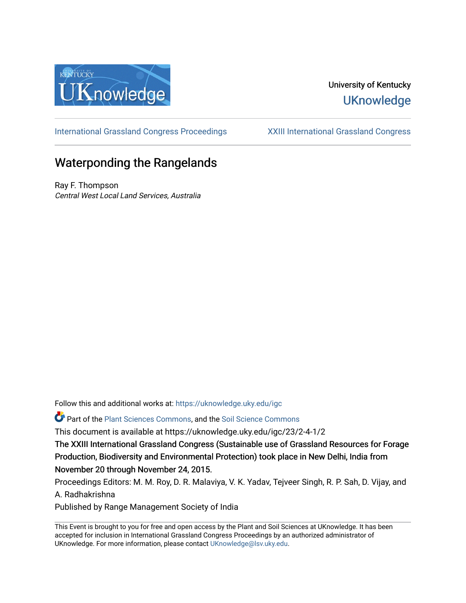

## University of Kentucky **UKnowledge**

[International Grassland Congress Proceedings](https://uknowledge.uky.edu/igc) [XXIII International Grassland Congress](https://uknowledge.uky.edu/igc/23) 

# Waterponding the Rangelands

Ray F. Thompson Central West Local Land Services, Australia

Follow this and additional works at: [https://uknowledge.uky.edu/igc](https://uknowledge.uky.edu/igc?utm_source=uknowledge.uky.edu%2Figc%2F23%2F2-4-1%2F2&utm_medium=PDF&utm_campaign=PDFCoverPages) 

Part of the [Plant Sciences Commons](http://network.bepress.com/hgg/discipline/102?utm_source=uknowledge.uky.edu%2Figc%2F23%2F2-4-1%2F2&utm_medium=PDF&utm_campaign=PDFCoverPages), and the [Soil Science Commons](http://network.bepress.com/hgg/discipline/163?utm_source=uknowledge.uky.edu%2Figc%2F23%2F2-4-1%2F2&utm_medium=PDF&utm_campaign=PDFCoverPages) 

This document is available at https://uknowledge.uky.edu/igc/23/2-4-1/2

The XXIII International Grassland Congress (Sustainable use of Grassland Resources for Forage Production, Biodiversity and Environmental Protection) took place in New Delhi, India from November 20 through November 24, 2015.

Proceedings Editors: M. M. Roy, D. R. Malaviya, V. K. Yadav, Tejveer Singh, R. P. Sah, D. Vijay, and A. Radhakrishna

Published by Range Management Society of India

This Event is brought to you for free and open access by the Plant and Soil Sciences at UKnowledge. It has been accepted for inclusion in International Grassland Congress Proceedings by an authorized administrator of UKnowledge. For more information, please contact [UKnowledge@lsv.uky.edu](mailto:UKnowledge@lsv.uky.edu).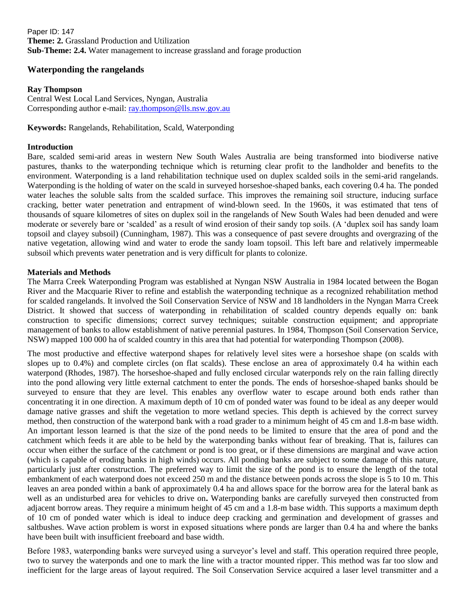Paper ID: 147 **Theme: 2.** Grassland Production and Utilization **Sub-Theme: 2.4.** Water management to increase grassland and forage production

### **Waterponding the rangelands**

#### **Ray Thompson**

Central West Local Land Services, Nyngan, Australia Corresponding author e-mail: [ray.thompson@lls.nsw.gov.au](mailto:ray.thompson@lls.nsw.gov.au)

**Keywords:** Rangelands, Rehabilitation, Scald, Waterponding

#### **Introduction**

Bare, scalded semi-arid areas in western New South Wales Australia are being transformed into biodiverse native pastures, thanks to the waterponding technique which is returning clear profit to the landholder and benefits to the environment. Waterponding is a land rehabilitation technique used on duplex scalded soils in the semi-arid rangelands. Waterponding is the holding of water on the scald in surveyed horseshoe-shaped banks, each covering 0.4 ha. The ponded water leaches the soluble salts from the scalded surface. This improves the remaining soil structure, inducing surface cracking, better water penetration and entrapment of wind-blown seed. In the 1960s, it was estimated that tens of thousands of square kilometres of sites on duplex soil in the rangelands of New South Wales had been denuded and were moderate or severely bare or "scalded" as a result of wind erosion of their sandy top soils. (A "duplex soil has sandy loam topsoil and clayey subsoil) (Cunningham, 1987). This was a consequence of past severe droughts and overgrazing of the native vegetation, allowing wind and water to erode the sandy loam topsoil. This left bare and relatively impermeable subsoil which prevents water penetration and is very difficult for plants to colonize.

#### **Materials and Methods**

The Marra Creek Waterponding Program was established at Nyngan NSW Australia in 1984 located between the Bogan River and the Macquarie River to refine and establish the waterponding technique as a recognized rehabilitation method for scalded rangelands. It involved the Soil Conservation Service of NSW and 18 landholders in the Nyngan Marra Creek District. It showed that success of waterponding in rehabilitation of scalded country depends equally on: bank construction to specific dimensions; correct survey techniques; suitable construction equipment; and appropriate management of banks to allow establishment of native perennial pastures. In 1984, Thompson (Soil Conservation Service, NSW) mapped 100 000 ha of scalded country in this area that had potential for waterponding Thompson (2008).

The most productive and effective waterpond shapes for relatively level sites were a horseshoe shape (on scalds with slopes up to 0.4%) and complete circles (on flat scalds). These enclose an area of approximately 0.4 ha within each waterpond (Rhodes, 1987). The horseshoe-shaped and fully enclosed circular waterponds rely on the rain falling directly into the pond allowing very little external catchment to enter the ponds. The ends of horseshoe-shaped banks should be surveyed to ensure that they are level. This enables any overflow water to escape around both ends rather than concentrating it in one direction. A maximum depth of 10 cm of ponded water was found to be ideal as any deeper would damage native grasses and shift the vegetation to more wetland species. This depth is achieved by the correct survey method, then construction of the waterpond bank with a road grader to a minimum height of 45 cm and 1.8-m base width. An important lesson learned is that the size of the pond needs to be limited to ensure that the area of pond and the catchment which feeds it are able to be held by the waterponding banks without fear of breaking. That is, failures can occur when either the surface of the catchment or pond is too great, or if these dimensions are marginal and wave action (which is capable of eroding banks in high winds) occurs. All ponding banks are subject to some damage of this nature, particularly just after construction. The preferred way to limit the size of the pond is to ensure the length of the total embankment of each waterpond does not exceed 250 m and the distance between ponds across the slope is 5 to 10 m. This leaves an area ponded within a bank of approximately 0.4 ha and allows space for the borrow area for the lateral bank as well as an undisturbed area for vehicles to drive on**.** Waterponding banks are carefully surveyed then constructed from adjacent borrow areas. They require a minimum height of 45 cm and a 1.8-m base width. This supports a maximum depth of 10 cm of ponded water which is ideal to induce deep cracking and germination and development of grasses and saltbushes. Wave action problem is worst in exposed situations where ponds are larger than 0.4 ha and where the banks have been built with insufficient freeboard and base width.

Before 1983, waterponding banks were surveyed using a surveyor's level and staff. This operation required three people, two to survey the waterponds and one to mark the line with a tractor mounted ripper. This method was far too slow and inefficient for the large areas of layout required. The Soil Conservation Service acquired a laser level transmitter and a